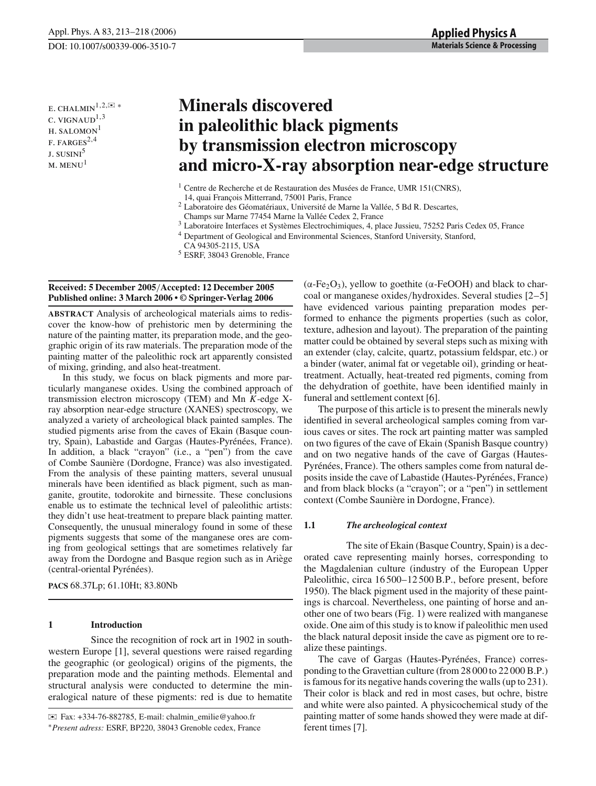E. CHALMIN<sup>1,2, $\mathbb{R}$  \*</sup>  $c.$  vignau $D^{1,3}$ H. SALOMON<sup>1</sup>  $F. FARGES<sup>2,4</sup>$ j. susini<sup>5</sup>  $M.$  MENU<sup>1</sup>

## **Materials Science & Processing Applied Physics A**

# **Minerals discovered in paleolithic black pigments by transmission electron microscopy and micro-X-ray absorption near-edge structure**

<sup>1</sup> Centre de Recherche et de Restauration des Musées de France, UMR 151(CNRS),  $14$ , quai François Mitterrand, 75001 Paris, France

 $2$  Laboratoire des Géomatériaux, Université de Marne la Vallée, 5 Bd R. Descartes,

Champs sur Marne 77454 Marne la Vallée Cedex 2, France <sup>3</sup> Laboratoire Interfaces et Systèmes Electrochimiques, 4, place Jussieu, 75252 Paris Cedex 05, France

<sup>4</sup> Department of Geological and Environmental Sciences, Stanford University, Stanford,

CA 94305-2115, USA

<sup>5</sup> ESRF, 38043 Grenoble, France

## **Received: 5 December 2005**/**Accepted: 12 December 2005 Published online: 3 March 2006 • © Springer-Verlag 2006**

**ABSTRACT** Analysis of archeological materials aims to rediscover the know-how of prehistoric men by determining the nature of the painting matter, its preparation mode, and the geographic origin of its raw materials. The preparation mode of the painting matter of the paleolithic rock art apparently consisted of mixing, grinding, and also heat-treatment.

In this study, we focus on black pigments and more particularly manganese oxides. Using the combined approach of transmission electron microscopy (TEM) and Mn *K*-edge Xray absorption near-edge structure (XANES) spectroscopy, we analyzed a variety of archeological black painted samples. The studied pigments arise from the caves of Ekain (Basque country, Spain), Labastide and Gargas (Hautes-Pyrénées, France). In addition, a black "crayon" (i.e., a "pen") from the cave of Combe Sauniere (Dordogne, France) was also investigated. ` From the analysis of these painting matters, several unusual minerals have been identified as black pigment, such as manganite, groutite, todorokite and birnessite. These conclusions enable us to estimate the technical level of paleolithic artists: they didn't use heat-treatment to prepare black painting matter. Consequently, the unusual mineralogy found in some of these pigments suggests that some of the manganese ores are coming from geological settings that are sometimes relatively far away from the Dordogne and Basque region such as in Ariege ` (central-oriental Pyrénées).

**PACS** 68.37Lp; 61.10Ht; 83.80Nb

## **1 Introduction**

Since the recognition of rock art in 1902 in southwestern Europe [1], several questions were raised regarding the geographic (or geological) origins of the pigments, the preparation mode and the painting methods. Elemental and structural analysis were conducted to determine the mineralogical nature of these pigments: red is due to hematite

( $\alpha$ -Fe<sub>2</sub>O<sub>3</sub>), yellow to goethite ( $\alpha$ -FeOOH) and black to charcoal or manganese oxides/hydroxides. Several studies [2–5] have evidenced various painting preparation modes performed to enhance the pigments properties (such as color, texture, adhesion and layout). The preparation of the painting matter could be obtained by several steps such as mixing with an extender (clay, calcite, quartz, potassium feldspar, etc.) or a binder (water, animal fat or vegetable oil), grinding or heattreatment. Actually, heat-treated red pigments, coming from the dehydration of goethite, have been identified mainly in funeral and settlement context [6].

The purpose of this article is to present the minerals newly identified in several archeological samples coming from various caves or sites. The rock art painting matter was sampled on two figures of the cave of Ekain (Spanish Basque country) and on two negative hands of the cave of Gargas (Hautes-Pyrénées, France). The others samples come from natural deposits inside the cave of Labastide (Hautes-Pyrénées, France) and from black blocks (a "crayon"; or a "pen") in settlement context (Combe Saunière in Dordogne, France).

## **1.1** *The archeological context*

The site of Ekain (Basque Country, Spain) is a decorated cave representing mainly horses, corresponding to the Magdalenian culture (industry of the European Upper Paleolithic, circa 16 500–12 500 B.P., before present, before 1950). The black pigment used in the majority of these paintings is charcoal. Nevertheless, one painting of horse and another one of two bears (Fig. 1) were realized with manganese oxide. One aim of this study is to know if paleolithic men used the black natural deposit inside the cave as pigment ore to realize these paintings.

The cave of Gargas (Hautes-Pyrénées, France) corresponding to the Gravettian culture (from 28 000 to 22 000 B.P.) is famous for its negative hands covering the walls (up to 231). Their color is black and red in most cases, but ochre, bistre and white were also painted. A physicochemical study of the painting matter of some hands showed they were made at different times [7].

<sup>✉</sup> Fax: +334-76-882785, E-mail: chalmin\_emilie@yahoo.fr <sup>∗</sup>*Present adress:* ESRF, BP220, 38043 Grenoble cedex, France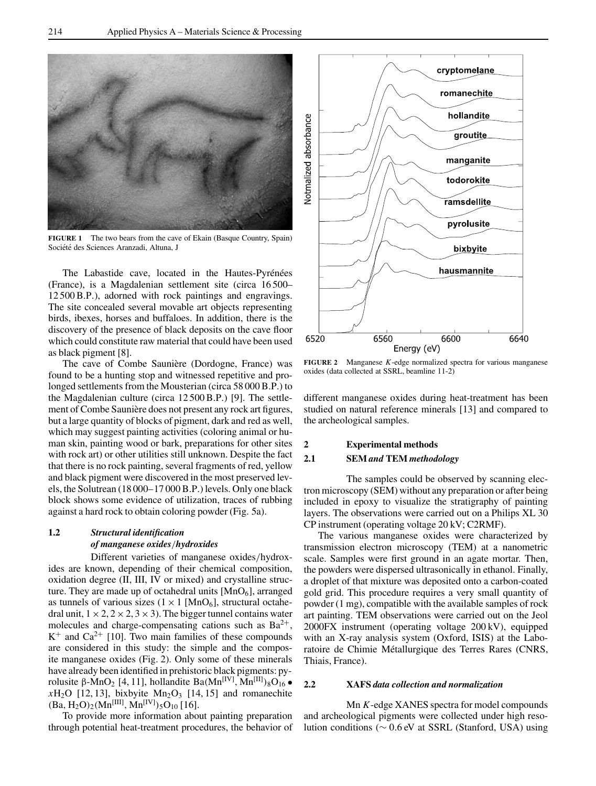

**FIGURE 1** The two bears from the cave of Ekain (Basque Country, Spain) Société des Sciences Aranzadi, Altuna, J

The Labastide cave, located in the Hautes-Pyrénées (France), is a Magdalenian settlement site (circa 16 500– 12 500 B.P.), adorned with rock paintings and engravings. The site concealed several movable art objects representing birds, ibexes, horses and buffaloes. In addition, there is the discovery of the presence of black deposits on the cave floor which could constitute raw material that could have been used as black pigment [8].

The cave of Combe Saunière (Dordogne, France) was found to be a hunting stop and witnessed repetitive and prolonged settlements from the Mousterian (circa 58 000 B.P.) to the Magdalenian culture (circa 12 500 B.P.) [9]. The settlement of Combe Saunière does not present any rock art figures, but a large quantity of blocks of pigment, dark and red as well, which may suggest painting activities (coloring animal or human skin, painting wood or bark, preparations for other sites with rock art) or other utilities still unknown. Despite the fact that there is no rock painting, several fragments of red, yellow and black pigment were discovered in the most preserved levels, the Solutrean (18 000–17 000 B.P.) levels. Only one black block shows some evidence of utilization, traces of rubbing against a hard rock to obtain coloring powder (Fig. 5a).

# **1.2** *Structural identification of manganese oxides*/*hydroxides*

Different varieties of manganese oxides/hydroxides are known, depending of their chemical composition, oxidation degree (II, III, IV or mixed) and crystalline structure. They are made up of octahedral units  $[MnO<sub>6</sub>]$ , arranged as tunnels of various sizes ( $1 \times 1$  [MnO<sub>6</sub>], structural octahedral unit,  $1 \times 2$ ,  $2 \times 2$ ,  $3 \times 3$ ). The bigger tunnel contains water molecules and charge-compensating cations such as  $Ba^{2+}$ ,  $K^+$  and Ca<sup>2+</sup> [10]. Two main families of these compounds are considered in this study: the simple and the composite manganese oxides (Fig. 2). Only some of these minerals have already been identified in prehistoric black pigments: pyrolusite β-MnO<sub>2</sub> [4, 11], hollandite Ba(Mn<sup>[IV]</sup>, Mn<sup>[II]</sup>)<sub>8</sub>O<sub>16</sub> •  $xH_2O$  [12, 13], bixbyite  $Mn_2O_3$  [14, 15] and romanechite  $(Ba, H<sub>2</sub>O)<sub>2</sub>(Mn<sup>[III]</sup>, Mn<sup>[IV]</sup>)<sub>5</sub>O<sub>10</sub> [16].$ 

To provide more information about painting preparation through potential heat-treatment procedures, the behavior of



**FIGURE 2** Manganese *K*-edge normalized spectra for various manganese oxides (data collected at SSRL, beamline 11-2)

different manganese oxides during heat-treatment has been studied on natural reference minerals [13] and compared to the archeological samples.

#### **2 Experimental methods**

## **2.1 SEM** *and* **TEM** *methodology*

The samples could be observed by scanning electron microscopy (SEM) without any preparation or after being included in epoxy to visualize the stratigraphy of painting layers. The observations were carried out on a Philips XL 30 CP instrument (operating voltage 20 kV; C2RMF).

The various manganese oxides were characterized by transmission electron microscopy (TEM) at a nanometric scale. Samples were first ground in an agate mortar. Then, the powders were dispersed ultrasonically in ethanol. Finally, a droplet of that mixture was deposited onto a carbon-coated gold grid. This procedure requires a very small quantity of powder (1 mg), compatible with the available samples of rock art painting. TEM observations were carried out on the Jeol 2000FX instrument (operating voltage 200 kV), equipped with an X-ray analysis system (Oxford, ISIS) at the Laboratoire de Chimie Métallurgique des Terres Rares (CNRS, Thiais, France).

## **2.2 XAFS** *data collection and normalization*

Mn *K*-edge XANES spectra for model compounds and archeological pigments were collected under high resolution conditions (∼ 0.6 eV at SSRL (Stanford, USA) using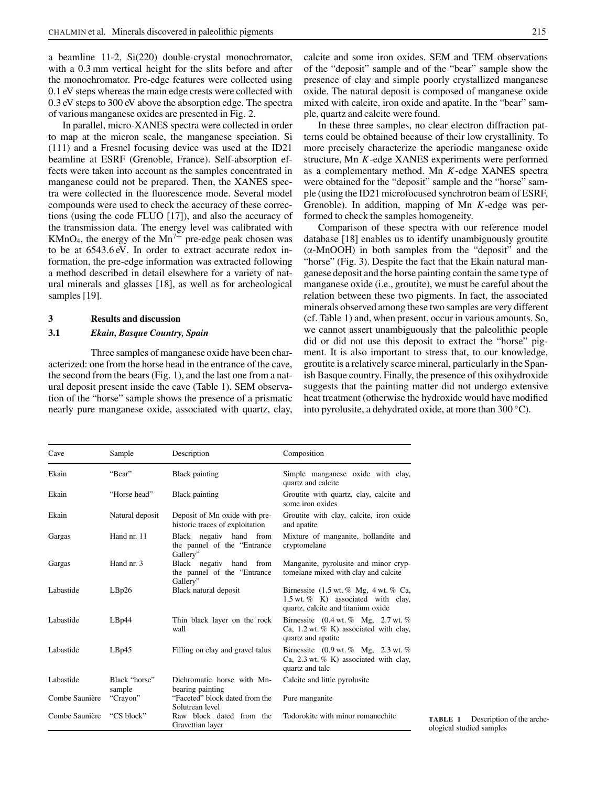a beamline 11-2, Si(220) double-crystal monochromator, with a 0.3 mm vertical height for the slits before and after the monochromator. Pre-edge features were collected using 0.1 eV steps whereas the main edge crests were collected with 0.3 eV steps to 300 eV above the absorption edge. The spectra of various manganese oxides are presented in Fig. 2.

In parallel, micro-XANES spectra were collected in order to map at the micron scale, the manganese speciation. Si (111) and a Fresnel focusing device was used at the ID21 beamline at ESRF (Grenoble, France). Self-absorption effects were taken into account as the samples concentrated in manganese could not be prepared. Then, the XANES spectra were collected in the fluorescence mode. Several model compounds were used to check the accuracy of these corrections (using the code FLUO [17]), and also the accuracy of the transmission data. The energy level was calibrated with KMnO<sub>4</sub>, the energy of the  $Mn^{7+}$  pre-edge peak chosen was to be at 6543.6 eV. In order to extract accurate redox information, the pre-edge information was extracted following a method described in detail elsewhere for a variety of natural minerals and glasses [18], as well as for archeological samples [19].

## **3 Results and discussion**

## **3.1** *Ekain, Basque Country, Spain*

Three samples of manganese oxide have been characterized: one from the horse head in the entrance of the cave, the second from the bears (Fig. 1), and the last one from a natural deposit present inside the cave (Table 1). SEM observation of the "horse" sample shows the presence of a prismatic nearly pure manganese oxide, associated with quartz, clay, calcite and some iron oxides. SEM and TEM observations of the "deposit" sample and of the "bear" sample show the presence of clay and simple poorly crystallized manganese oxide. The natural deposit is composed of manganese oxide mixed with calcite, iron oxide and apatite. In the "bear" sample, quartz and calcite were found.

In these three samples, no clear electron diffraction patterns could be obtained because of their low crystallinity. To more precisely characterize the aperiodic manganese oxide structure, Mn *K*-edge XANES experiments were performed as a complementary method. Mn *K*-edge XANES spectra were obtained for the "deposit" sample and the "horse" sample (using the ID21 microfocused synchrotron beam of ESRF, Grenoble). In addition, mapping of Mn *K*-edge was performed to check the samples homogeneity.

Comparison of these spectra with our reference model database [18] enables us to identify unambiguously groutite (α-MnOOH) in both samples from the "deposit" and the "horse" (Fig. 3). Despite the fact that the Ekain natural manganese deposit and the horse painting contain the same type of manganese oxide (i.e., groutite), we must be careful about the relation between these two pigments. In fact, the associated minerals observed among these two samples are very different (cf. Table 1) and, when present, occur in various amounts. So, we cannot assert unambiguously that the paleolithic people did or did not use this deposit to extract the "horse" pigment. It is also important to stress that, to our knowledge, groutite is a relatively scarce mineral, particularly in the Spanish Basque country. Finally, the presence of this oxihydroxide suggests that the painting matter did not undergo extensive heat treatment (otherwise the hydroxide would have modified into pyrolusite, a dehydrated oxide, at more than 300 ◦C).

| Cave           | Sample                  | Description                                                            | Composition                                                                                                                                                |
|----------------|-------------------------|------------------------------------------------------------------------|------------------------------------------------------------------------------------------------------------------------------------------------------------|
| Ekain          | "Bear"                  | Black painting                                                         | Simple manganese oxide with clay,<br>quartz and calcite                                                                                                    |
| Ekain          | "Horse head"            | <b>Black painting</b>                                                  | Groutite with quartz, clay, calcite and<br>some iron oxides                                                                                                |
| Ekain          | Natural deposit         | Deposit of Mn oxide with pre-<br>historic traces of exploitation       | Groutite with clay, calcite, iron oxide<br>and apatite                                                                                                     |
| Gargas         | Hand nr. 11             | Black negativ hand<br>from<br>the pannel of the "Entrance"<br>Gallery" | Mixture of manganite, hollandite and<br>cryptomelane                                                                                                       |
| Gargas         | Hand nr. 3              | Black negativ hand<br>from<br>the pannel of the "Entrance"<br>Gallery" | Manganite, pyrolusite and minor cryp-<br>tomelane mixed with clay and calcite                                                                              |
| Labastide      | Lbp26                   | Black natural deposit                                                  | Birnessite $(1.5 \text{ wt. } \% \text{ Mg}, 4 \text{ wt. } \% \text{ Ca},$<br>1.5 wt. $\%$ K) associated with clay,<br>quartz, calcite and titanium oxide |
| Labastide      | LBp44                   | Thin black layer on the rock<br>wall                                   | Birnessite $(0.4 \text{ wt. } \% \text{ Mg}, 2.7 \text{ wt. } \%$<br>Ca, $1.2$ wt. % K) associated with clay,<br>quartz and apatite                        |
| Labastide      | $L$ Bp45                | Filling on clay and gravel talus                                       | Birnessite $(0.9 \text{ wt. } \% \text{ Mg}, 2.3 \text{ wt. } \%$<br>Ca, $2.3$ wt. % K) associated with clay,<br>quartz and talc                           |
| Labastide      | Black "horse"<br>sample | Dichromatic horse with Mn-<br>bearing painting                         | Calcite and little pyrolusite                                                                                                                              |
| Combe Saunière | "Crayon"                | "Faceted" block dated from the<br>Solutrean level                      | Pure manganite                                                                                                                                             |
| Combe Saunière | "CS block"              | Raw block dated from the<br>Gravettian layer                           | Todorokite with minor romanechite                                                                                                                          |

TABLE 1 Description of the archeological studied samples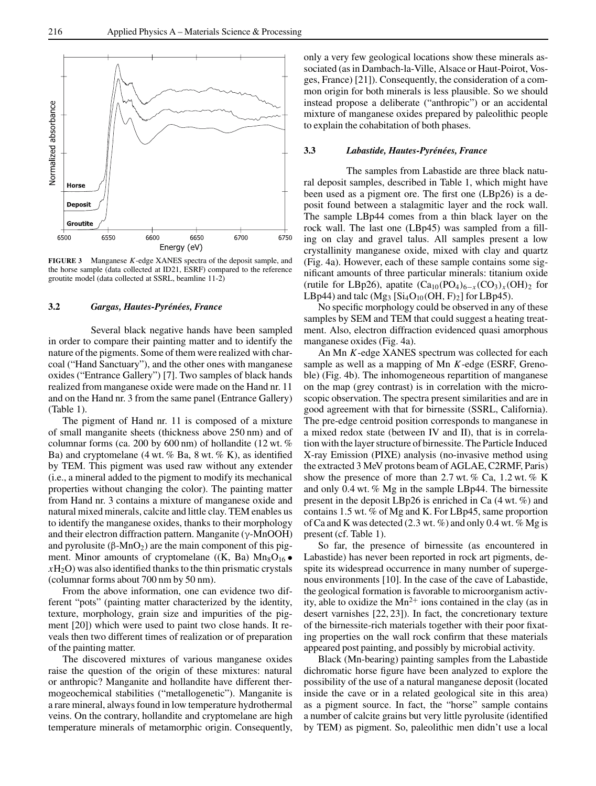

**FIGURE 3** Manganese *K*-edge XANES spectra of the deposit sample, and the horse sample (data collected at ID21, ESRF) compared to the reference groutite model (data collected at SSRL, beamline 11-2)

## **3.2** *Gargas, Hautes-Pyren´ ees, France ´*

Several black negative hands have been sampled in order to compare their painting matter and to identify the nature of the pigments. Some of them were realized with charcoal ("Hand Sanctuary"), and the other ones with manganese oxides ("Entrance Gallery") [7]. Two samples of black hands realized from manganese oxide were made on the Hand nr. 11 and on the Hand nr. 3 from the same panel (Entrance Gallery) (Table 1).

The pigment of Hand nr. 11 is composed of a mixture of small manganite sheets (thickness above 250 nm) and of columnar forms (ca. 200 by 600 nm) of hollandite (12 wt.  $%$ Ba) and cryptomelane (4 wt. % Ba, 8 wt. % K), as identified by TEM. This pigment was used raw without any extender (i.e., a mineral added to the pigment to modify its mechanical properties without changing the color). The painting matter from Hand nr. 3 contains a mixture of manganese oxide and natural mixed minerals, calcite and little clay. TEM enables us to identify the manganese oxides, thanks to their morphology and their electron diffraction pattern. Manganite (γ-MnOOH) and pyrolusite  $(\beta-MnO_2)$  are the main component of this pigment. Minor amounts of cryptomelane ((K, Ba)  $Mn_8O_{16}$  $xH<sub>2</sub>O$ ) was also identified thanks to the thin prismatic crystals (columnar forms about 700 nm by 50 nm).

From the above information, one can evidence two different "pots" (painting matter characterized by the identity, texture, morphology, grain size and impurities of the pigment [20]) which were used to paint two close hands. It reveals then two different times of realization or of preparation of the painting matter.

The discovered mixtures of various manganese oxides raise the question of the origin of these mixtures: natural or anthropic? Manganite and hollandite have different thermogeochemical stabilities ("metallogenetic"). Manganite is a rare mineral, always found in low temperature hydrothermal veins. On the contrary, hollandite and cryptomelane are high temperature minerals of metamorphic origin. Consequently,

only a very few geological locations show these minerals associated (as in Dambach-la-Ville, Alsace or Haut-Poirot, Vosges, France) [21]). Consequently, the consideration of a common origin for both minerals is less plausible. So we should instead propose a deliberate ("anthropic") or an accidental mixture of manganese oxides prepared by paleolithic people to explain the cohabitation of both phases.

#### **3.3** *Labastide, Hautes-Pyren´ ees, France ´*

The samples from Labastide are three black natural deposit samples, described in Table 1, which might have been used as a pigment ore. The first one (LBp26) is a deposit found between a stalagmitic layer and the rock wall. The sample LBp44 comes from a thin black layer on the rock wall. The last one (LBp45) was sampled from a filling on clay and gravel talus. All samples present a low crystallinity manganese oxide, mixed with clay and quartz (Fig. 4a). However, each of these sample contains some significant amounts of three particular minerals: titanium oxide (rutile for LBp26), apatite  $(Ca_{10}(PO_4)_{6-x}(CO_3)_x(OH)_2$  for LBp44) and talc (Mg<sub>3</sub> [Si<sub>4</sub>O<sub>10</sub>(OH, F)<sub>2</sub>] for LBp45).

No specific morphology could be observed in any of these samples by SEM and TEM that could suggest a heating treatment. Also, electron diffraction evidenced quasi amorphous manganese oxides (Fig. 4a).

An Mn *K*-edge XANES spectrum was collected for each sample as well as a mapping of Mn *K*-edge (ESRF, Grenoble) (Fig. 4b). The inhomogeneous repartition of manganese on the map (grey contrast) is in correlation with the microscopic observation. The spectra present similarities and are in good agreement with that for birnessite (SSRL, California). The pre-edge centroid position corresponds to manganese in a mixed redox state (between IV and II), that is in correlation with the layer structure of birnessite. The Particle Induced X-ray Emission (PIXE) analysis (no-invasive method using the extracted 3 MeV protons beam of AGLAE, C2RMF, Paris) show the presence of more than 2.7 wt. % Ca, 1.2 wt. % K and only 0.4 wt. % Mg in the sample LBp44. The birnessite present in the deposit LBp26 is enriched in Ca (4 wt. %) and contains 1.5 wt. % of Mg and K. For LBp45, same proportion of Ca and K was detected  $(2.3 \text{ wt. } \%)$  and only 0.4 wt.  $\%$  Mg is present (cf. Table 1).

So far, the presence of birnessite (as encountered in Labastide) has never been reported in rock art pigments, despite its widespread occurrence in many number of supergenous environments [10]. In the case of the cave of Labastide, the geological formation is favorable to microorganism activity, able to oxidize the  $Mn^{2+}$  ions contained in the clay (as in desert varnishes [22, 23]). In fact, the concretionary texture of the birnessite-rich materials together with their poor fixating properties on the wall rock confirm that these materials appeared post painting, and possibly by microbial activity.

Black (Mn-bearing) painting samples from the Labastide dichromatic horse figure have been analyzed to explore the possibility of the use of a natural manganese deposit (located inside the cave or in a related geological site in this area) as a pigment source. In fact, the "horse" sample contains a number of calcite grains but very little pyrolusite (identified by TEM) as pigment. So, paleolithic men didn't use a local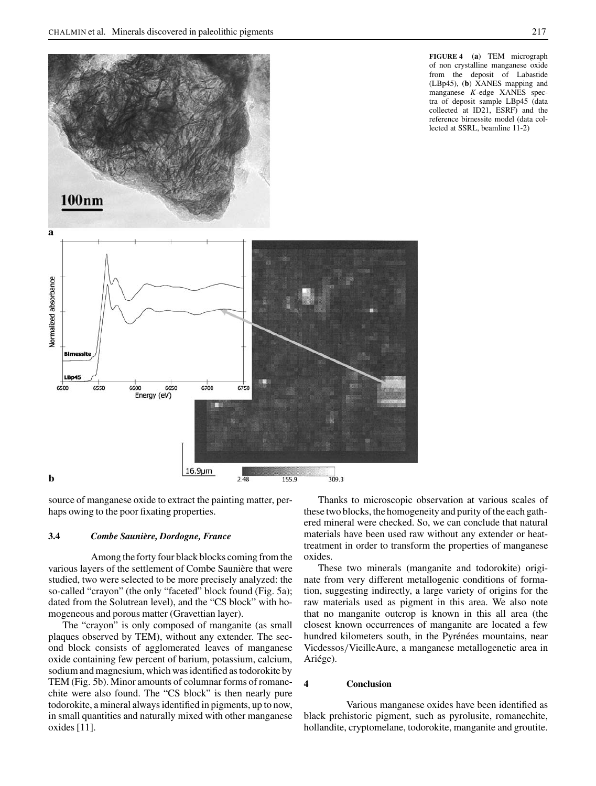

source of manganese oxide to extract the painting matter, perhaps owing to the poor fixating properties.

## **3.4** *Combe Sauniere, Dordogne, France `*

Among the forty four black blocks coming from the various layers of the settlement of Combe Saunière that were studied, two were selected to be more precisely analyzed: the so-called "crayon" (the only "faceted" block found (Fig. 5a); dated from the Solutrean level), and the "CS block" with homogeneous and porous matter (Gravettian layer).

The "crayon" is only composed of manganite (as small plaques observed by TEM), without any extender. The second block consists of agglomerated leaves of manganese oxide containing few percent of barium, potassium, calcium, sodium and magnesium, which was identified as todorokite by TEM (Fig. 5b). Minor amounts of columnar forms of romanechite were also found. The "CS block" is then nearly pure todorokite, a mineral always identified in pigments, up to now, in small quantities and naturally mixed with other manganese oxides [11].

Thanks to microscopic observation at various scales of these two blocks, the homogeneity and purity of the each gathered mineral were checked. So, we can conclude that natural materials have been used raw without any extender or heattreatment in order to transform the properties of manganese oxides.

These two minerals (manganite and todorokite) originate from very different metallogenic conditions of formation, suggesting indirectly, a large variety of origins for the raw materials used as pigment in this area. We also note that no manganite outcrop is known in this all area (the closest known occurrences of manganite are located a few hundred kilometers south, in the Pyrénées mountains, near Vicdessos/VieilleAure, a manganese metallogenetic area in Ariége).

## **4 Conclusion**

Various manganese oxides have been identified as black prehistoric pigment, such as pyrolusite, romanechite, hollandite, cryptomelane, todorokite, manganite and groutite.

**FIGURE 4** (**a**) TEM micrograph of non crystalline manganese oxide from the deposit of Labastide (LBp45), (**b**) XANES mapping and manganese *K*-edge XANES spectra of deposit sample LBp45 (data collected at ID21, ESRF) and the reference birnessite model (data collected at SSRL, beamline 11-2)